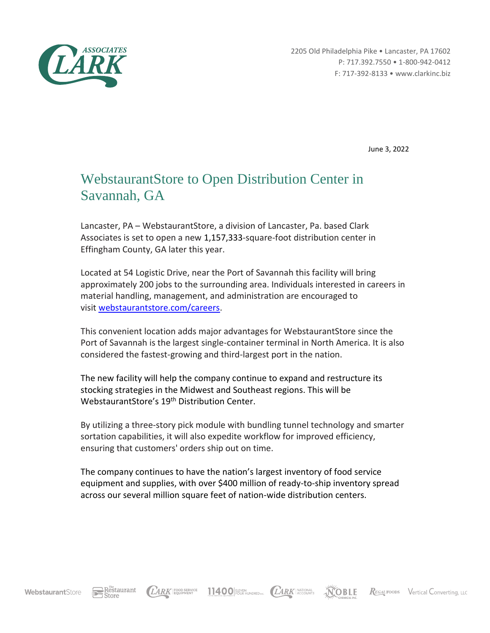

2205 Old Philadelphia Pike • Lancaster, PA 17602 P: 717.392.7550 • 1-800-942-0412 F: 717-392-8133 • www.clarkinc.biz

June 3, 2022

## WebstaurantStore to Open Distribution Center in Savannah, GA

Lancaster, PA – WebstaurantStore, a division of Lancaster, Pa. based Clark Associates is set to open a new 1,157,333-square-foot distribution center in Effingham County, GA later this year.

Located at 54 Logistic Drive, near the Port of Savannah this facility will bring approximately 200 jobs to the surrounding area. Individuals interested in careers in material handling, management, and administration are encouraged to visit [webstaurantstore.com/careers.](https://www.webstaurantstore.com/careers/)

This convenient location adds major advantages for WebstaurantStore since the Port of Savannah is the largest single-container terminal in North America. It is also considered the fastest-growing and third-largest port in the nation.

The new facility will help the company continue to expand and restructure its stocking strategies in the Midwest and Southeast regions. This will be WebstaurantStore's 19th Distribution Center.

By utilizing a three-story pick module with bundling tunnel technology and smarter sortation capabilities, it will also expedite workflow for improved efficiency, ensuring that customers' orders ship out on time.

The company continues to have the nation's largest inventory of food service equipment and supplies, with over \$400 million of ready-to-ship inventory spread across our several million square feet of nation-wide distribution centers.

11400 FUST NUNDRED INC. (*LARK* NATIONAL

**NOBLE** 

REGAL FOODS Vertical Converting, LLC

Restaurant

LARK FOOD SERVICE